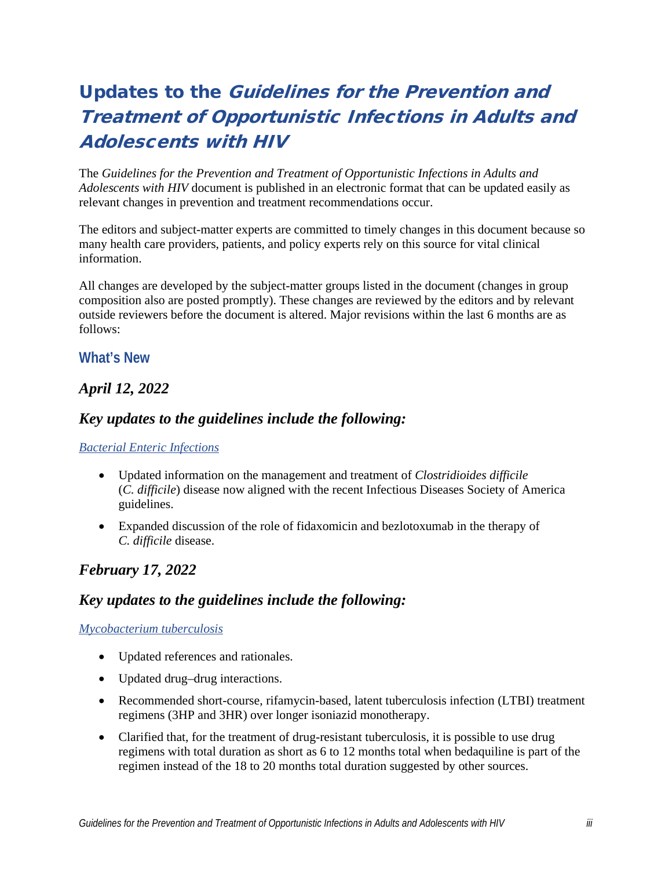# Updates to the Guidelines for the Prevention and Treatment of Opportunistic Infections in Adults and Adolescents with HIV

The *Guidelines for the Prevention and Treatment of Opportunistic Infections in Adults and Adolescents with HIV* document is published in an electronic format that can be updated easily as relevant changes in prevention and treatment recommendations occur.

The editors and subject-matter experts are committed to timely changes in this document because so many health care providers, patients, and policy experts rely on this source for vital clinical information.

All changes are developed by the subject-matter groups listed in the document (changes in group composition also are posted promptly). These changes are reviewed by the editors and by relevant outside reviewers before the document is altered. Major revisions within the last 6 months are as follows:

#### **What's New**

## *April 12, 2022*

## *Key updates to the guidelines include the following:*

#### *[Bacterial Enteric Infections](https://clinicalinfo.hiv.gov/en/guidelines/hiv-clinical-guidelines-adult-and-adolescent-opportunistic-infections/bacterial-enteric?view=full)*

- Updated information on the management and treatment of *Clostridioides difficile* (*C. difficile*) disease now aligned with the recent Infectious Diseases Society of America guidelines.
- Expanded discussion of the role of fidaxomicin and bezlotoxumab in the therapy of *C. difficile* disease.

## *February 17, 2022*

## *Key updates to the guidelines include the following:*

#### *[Mycobacterium tuberculosis](https://clinicalinfo.hiv.gov/en/guidelines/adult-and-adolescent-opportunistic-infection/mycobacterium-tuberculosis-infection-and?view=full)*

- Updated references and rationales.
- Updated drug–drug interactions.
- Recommended short-course, rifamycin-based, latent tuberculosis infection (LTBI) treatment regimens (3HP and 3HR) over longer isoniazid monotherapy.
- Clarified that, for the treatment of drug-resistant tuberculosis, it is possible to use drug regimens with total duration as short as 6 to 12 months total when bedaquiline is part of the regimen instead of the 18 to 20 months total duration suggested by other sources.